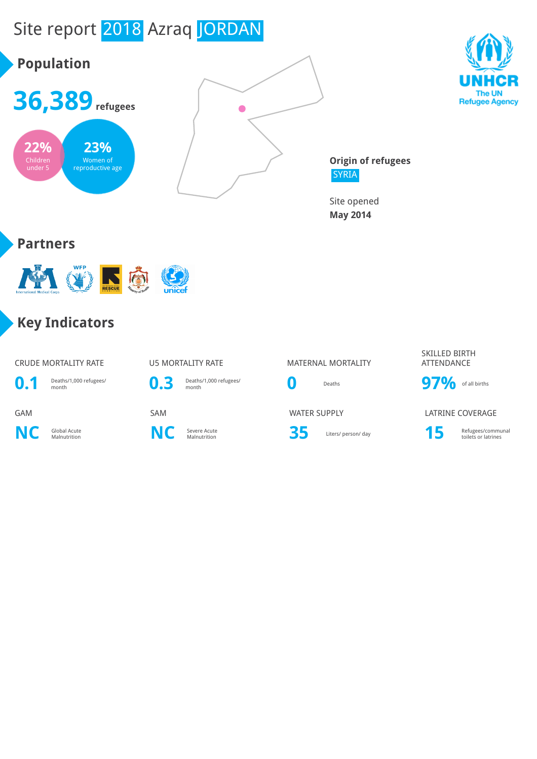# Site report 2018 Azraq JORDAN





**Origin of refugees** SYRIA

Site opened **May 2014**

### **Partners**



### **Key Indicators**

#### CRUDE MORTALITY RATE **U5 MORTALITY RATE** MATERNAL MORTALITY



**0.1** Deaths/1,000 refugees/

**NC** Global Acute



**C** Severe Acute<br>Malnutrition **NC** Severe Acute



Severe Acute **35** Liters/ person/ day **15** Refugees/communal Refugees/communal

#### SKILLED BIRTH ATTENDANCE



### GAM SAM SAM SAM WATER SUPPLY LATRINE COVERAGE



toilets or latrines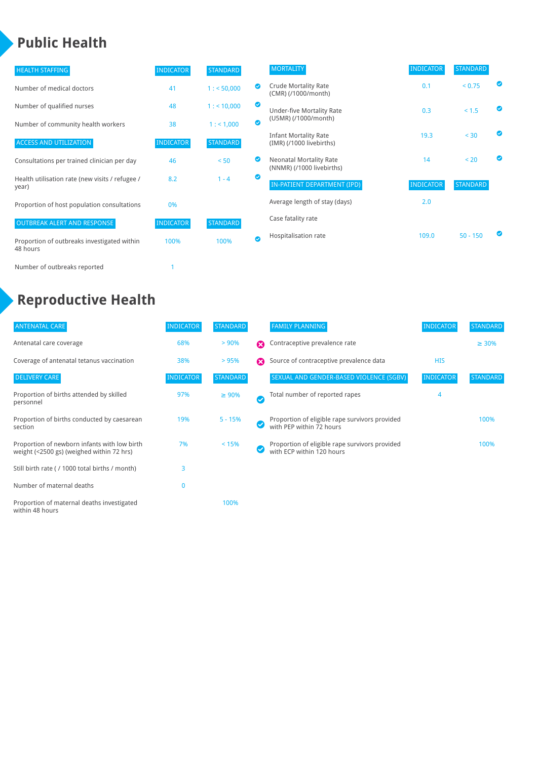### **Public Health**

a)

| <b>HEALTH STAFFING</b>                                   | <b>INDICATOR</b> | <b>STANDARD</b> |           | <b>MORTALITY</b>                                            | <b>INDICATOR</b> | <b>STANDARD</b> |  |
|----------------------------------------------------------|------------------|-----------------|-----------|-------------------------------------------------------------|------------------|-----------------|--|
| Number of medical doctors                                | 41               | 1: 50,000       |           | <b>Crude Mortality Rate</b><br>(CMR) (/1000/month)          | 0.1              | < 0.75          |  |
| Number of qualified nurses                               | 48               | 1: 10,000       | $\bullet$ | Under-five Mortality Rate                                   | 0.3              | < 1.5           |  |
| Number of community health workers                       | 38               | 1:1,000         | $\bullet$ | (U5MR) (/1000/month)                                        |                  |                 |  |
| <b>ACCESS AND UTILIZATION</b>                            | <b>INDICATOR</b> | <b>STANDARD</b> |           | <b>Infant Mortality Rate</b><br>(IMR) (/1000 livebirths)    | 19.3             | < 30            |  |
| Consultations per trained clinician per day              | 46               | < 50            |           | <b>Neonatal Mortality Rate</b><br>(NNMR) (/1000 livebirths) | 14               | < 20            |  |
| Health utilisation rate (new visits / refugee /<br>year) | 8.2              | $1 - 4$         | $\bullet$ | IN-PATIENT DEPARTMENT (IPD)                                 | <b>INDICATOR</b> | <b>STANDARD</b> |  |
| Proportion of host population consultations              | 0%               |                 |           | Average length of stay (days)                               | 2.0              |                 |  |
| <b>OUTBREAK ALERT AND RESPONSE</b>                       | <b>INDICATOR</b> | <b>STANDARD</b> |           | Case fatality rate                                          |                  |                 |  |
| Proportion of outbreaks investigated within<br>48 hours  | 100%             | 100%            | $\bullet$ | Hospitalisation rate                                        | 109.0            | $50 - 150$      |  |
| Number of outbreaks reported                             |                  |                 |           |                                                             |                  |                 |  |

### **Reproductive Health**

| <b>ANTENATAL CARE</b>                                                                     | <b>INDICATOR</b> | <b>STANDARD</b> |                       | <b>FAMILY PLANNING</b>                                                      | <b>INDICATOR</b> | <b>STANDARD</b> |
|-------------------------------------------------------------------------------------------|------------------|-----------------|-----------------------|-----------------------------------------------------------------------------|------------------|-----------------|
| Antenatal care coverage                                                                   | 68%              | > 90%           | Ω                     | Contraceptive prevalence rate                                               |                  | $\geq 30\%$     |
| Coverage of antenatal tetanus vaccination                                                 | 38%              | >95%            | $\boldsymbol{\Omega}$ | Source of contraceptive prevalence data                                     | <b>HIS</b>       |                 |
| <b>DELIVERY CARE</b>                                                                      | <b>INDICATOR</b> | <b>STANDARD</b> |                       | SEXUAL AND GENDER-BASED VIOLENCE (SGBV)                                     | <b>INDICATOR</b> | <b>STANDARD</b> |
| Proportion of births attended by skilled<br>personnel                                     | 97%              | $\geq 90\%$     | Ø                     | Total number of reported rapes                                              |                  |                 |
| Proportion of births conducted by caesarean<br>section                                    | 19%              | $5 - 15%$       | ✓                     | Proportion of eligible rape survivors provided<br>with PEP within 72 hours  |                  | 100%            |
| Proportion of newborn infants with low birth<br>weight (<2500 gs) (weighed within 72 hrs) | 7%               | < 15%           | ✓                     | Proportion of eligible rape survivors provided<br>with ECP within 120 hours |                  | 100%            |
| Still birth rate (/1000 total births / month)                                             | 3                |                 |                       |                                                                             |                  |                 |
| Number of maternal deaths                                                                 | 0                |                 |                       |                                                                             |                  |                 |
| Proportion of maternal deaths investigated<br>within 48 hours                             |                  | 100%            |                       |                                                                             |                  |                 |

| <b>FAMILY PLANNING</b>                                                      | <b>INDICATOR</b> | <b>STANDARD</b> |
|-----------------------------------------------------------------------------|------------------|-----------------|
| Contraceptive prevalence rate                                               |                  | $\geq 30\%$     |
| Source of contraceptive prevalence data                                     | HIS              |                 |
| SEXUAL AND GENDER-BASED VIOLENCE (SGBV)                                     | <b>INDICATOR</b> | <b>STANDARD</b> |
| Total number of reported rapes                                              | 4                |                 |
| Proportion of eligible rape survivors provided<br>with PEP within 72 hours  |                  | 100%            |
| Proportion of eligible rape survivors provided<br>with ECP within 120 hours |                  | 100%            |